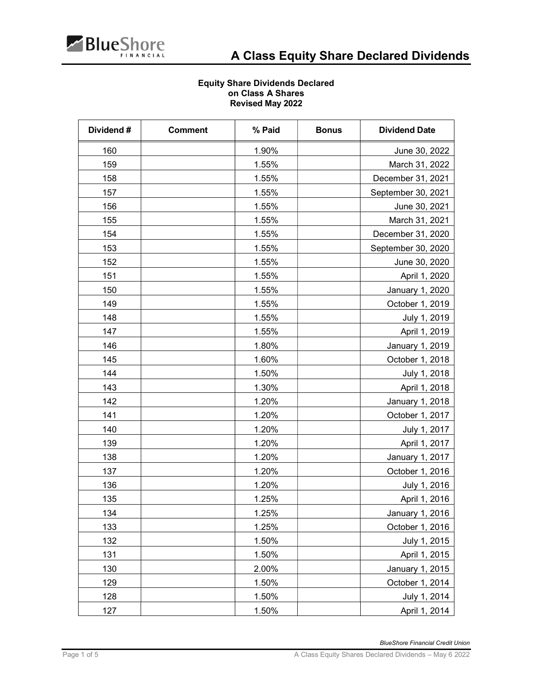

## Equity Share Dividends Declared on Class A Shares Revised May 2022

| Dividend# | <b>Comment</b> | % Paid | <b>Bonus</b> | <b>Dividend Date</b> |
|-----------|----------------|--------|--------------|----------------------|
| 160       |                | 1.90%  |              | June 30, 2022        |
| 159       |                | 1.55%  |              | March 31, 2022       |
| 158       |                | 1.55%  |              | December 31, 2021    |
| 157       |                | 1.55%  |              | September 30, 2021   |
| 156       |                | 1.55%  |              | June 30, 2021        |
| 155       |                | 1.55%  |              | March 31, 2021       |
| 154       |                | 1.55%  |              | December 31, 2020    |
| 153       |                | 1.55%  |              | September 30, 2020   |
| 152       |                | 1.55%  |              | June 30, 2020        |
| 151       |                | 1.55%  |              | April 1, 2020        |
| 150       |                | 1.55%  |              | January 1, 2020      |
| 149       |                | 1.55%  |              | October 1, 2019      |
| 148       |                | 1.55%  |              | July 1, 2019         |
| 147       |                | 1.55%  |              | April 1, 2019        |
| 146       |                | 1.80%  |              | January 1, 2019      |
| 145       |                | 1.60%  |              | October 1, 2018      |
| 144       |                | 1.50%  |              | July 1, 2018         |
| 143       |                | 1.30%  |              | April 1, 2018        |
| 142       |                | 1.20%  |              | January 1, 2018      |
| 141       |                | 1.20%  |              | October 1, 2017      |
| 140       |                | 1.20%  |              | July 1, 2017         |
| 139       |                | 1.20%  |              | April 1, 2017        |
| 138       |                | 1.20%  |              | January 1, 2017      |
| 137       |                | 1.20%  |              | October 1, 2016      |
| 136       |                | 1.20%  |              | July 1, 2016         |
| 135       |                | 1.25%  |              | April 1, 2016        |
| 134       |                | 1.25%  |              | January 1, 2016      |
| 133       |                | 1.25%  |              | October 1, 2016      |
| 132       |                | 1.50%  |              | July 1, 2015         |
| 131       |                | 1.50%  |              | April 1, 2015        |
| 130       |                | 2.00%  |              | January 1, 2015      |
| 129       |                | 1.50%  |              | October 1, 2014      |
| 128       |                | 1.50%  |              | July 1, 2014         |
| 127       |                | 1.50%  |              | April 1, 2014        |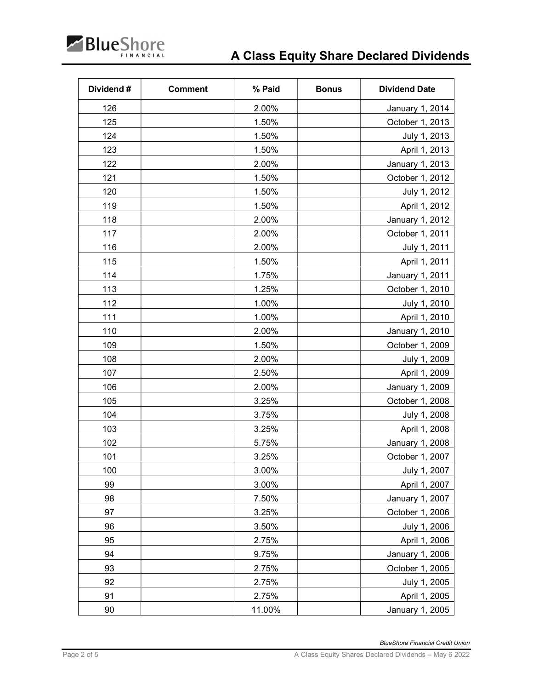

| Dividend# | <b>Comment</b> | % Paid | <b>Bonus</b> | <b>Dividend Date</b> |
|-----------|----------------|--------|--------------|----------------------|
| 126       |                | 2.00%  |              | January 1, 2014      |
| 125       |                | 1.50%  |              | October 1, 2013      |
| 124       |                | 1.50%  |              | July 1, 2013         |
| 123       |                | 1.50%  |              | April 1, 2013        |
| 122       |                | 2.00%  |              | January 1, 2013      |
| 121       |                | 1.50%  |              | October 1, 2012      |
| 120       |                | 1.50%  |              | July 1, 2012         |
| 119       |                | 1.50%  |              | April 1, 2012        |
| 118       |                | 2.00%  |              | January 1, 2012      |
| 117       |                | 2.00%  |              | October 1, 2011      |
| 116       |                | 2.00%  |              | July 1, 2011         |
| 115       |                | 1.50%  |              | April 1, 2011        |
| 114       |                | 1.75%  |              | January 1, 2011      |
| 113       |                | 1.25%  |              | October 1, 2010      |
| 112       |                | 1.00%  |              | July 1, 2010         |
| 111       |                | 1.00%  |              | April 1, 2010        |
| 110       |                | 2.00%  |              | January 1, 2010      |
| 109       |                | 1.50%  |              | October 1, 2009      |
| 108       |                | 2.00%  |              | July 1, 2009         |
| 107       |                | 2.50%  |              | April 1, 2009        |
| 106       |                | 2.00%  |              | January 1, 2009      |
| 105       |                | 3.25%  |              | October 1, 2008      |
| 104       |                | 3.75%  |              | July 1, 2008         |
| 103       |                | 3.25%  |              | April 1, 2008        |
| 102       |                | 5.75%  |              | January 1, 2008      |
| 101       |                | 3.25%  |              | October 1, 2007      |
| 100       |                | 3.00%  |              | July 1, 2007         |
| 99        |                | 3.00%  |              | April 1, 2007        |
| 98        |                | 7.50%  |              | January 1, 2007      |
| 97        |                | 3.25%  |              | October 1, 2006      |
| 96        |                | 3.50%  |              | July 1, 2006         |
| 95        |                | 2.75%  |              | April 1, 2006        |
| 94        |                | 9.75%  |              | January 1, 2006      |
| 93        |                | 2.75%  |              | October 1, 2005      |
| 92        |                | 2.75%  |              | July 1, 2005         |
| 91        |                | 2.75%  |              | April 1, 2005        |
| $90\,$    |                | 11.00% |              | January 1, 2005      |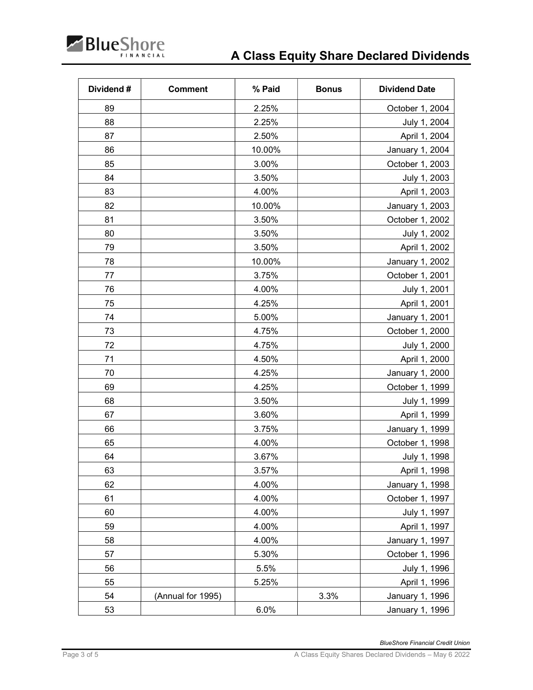

| Dividend# | <b>Comment</b>    | % Paid | <b>Bonus</b> | <b>Dividend Date</b> |
|-----------|-------------------|--------|--------------|----------------------|
| 89        |                   | 2.25%  |              | October 1, 2004      |
| 88        |                   | 2.25%  |              | July 1, 2004         |
| 87        |                   | 2.50%  |              | April 1, 2004        |
| 86        |                   | 10.00% |              | January 1, 2004      |
| 85        |                   | 3.00%  |              | October 1, 2003      |
| 84        |                   | 3.50%  |              | July 1, 2003         |
| 83        |                   | 4.00%  |              | April 1, 2003        |
| 82        |                   | 10.00% |              | January 1, 2003      |
| 81        |                   | 3.50%  |              | October 1, 2002      |
| 80        |                   | 3.50%  |              | July 1, 2002         |
| 79        |                   | 3.50%  |              | April 1, 2002        |
| 78        |                   | 10.00% |              | January 1, 2002      |
| 77        |                   | 3.75%  |              | October 1, 2001      |
| 76        |                   | 4.00%  |              | July 1, 2001         |
| 75        |                   | 4.25%  |              | April 1, 2001        |
| 74        |                   | 5.00%  |              | January 1, 2001      |
| 73        |                   | 4.75%  |              | October 1, 2000      |
| 72        |                   | 4.75%  |              | July 1, 2000         |
| 71        |                   | 4.50%  |              | April 1, 2000        |
| 70        |                   | 4.25%  |              | January 1, 2000      |
| 69        |                   | 4.25%  |              | October 1, 1999      |
| 68        |                   | 3.50%  |              | July 1, 1999         |
| 67        |                   | 3.60%  |              | April 1, 1999        |
| 66        |                   | 3.75%  |              | January 1, 1999      |
| 65        |                   | 4.00%  |              | October 1, 1998      |
| 64        |                   | 3.67%  |              | July 1, 1998         |
| 63        |                   | 3.57%  |              | April 1, 1998        |
| 62        |                   | 4.00%  |              | January 1, 1998      |
| 61        |                   | 4.00%  |              | October 1, 1997      |
| 60        |                   | 4.00%  |              | July 1, 1997         |
| 59        |                   | 4.00%  |              | April 1, 1997        |
| 58        |                   | 4.00%  |              | January 1, 1997      |
| 57        |                   | 5.30%  |              | October 1, 1996      |
| 56        |                   | 5.5%   |              | July 1, 1996         |
| 55        |                   | 5.25%  |              | April 1, 1996        |
| 54        | (Annual for 1995) |        | 3.3%         | January 1, 1996      |
| 53        |                   | 6.0%   |              | January 1, 1996      |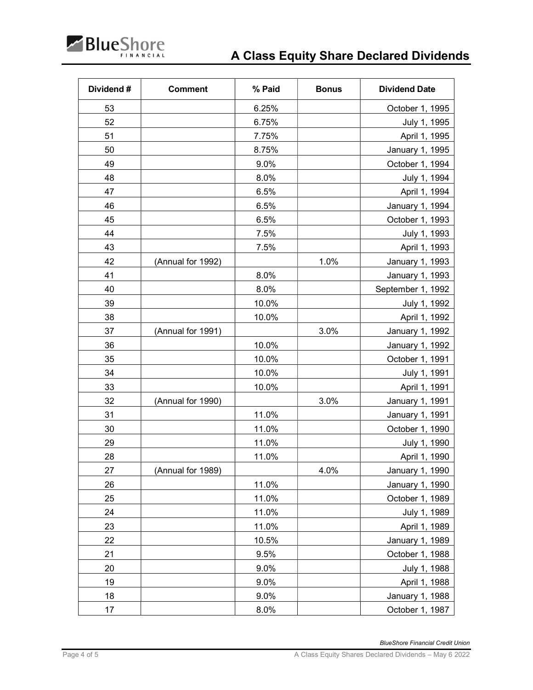

| Dividend# | <b>Comment</b>    | % Paid | <b>Bonus</b> | <b>Dividend Date</b> |
|-----------|-------------------|--------|--------------|----------------------|
| 53        |                   | 6.25%  |              | October 1, 1995      |
| 52        |                   | 6.75%  |              | July 1, 1995         |
| 51        |                   | 7.75%  |              | April 1, 1995        |
| 50        |                   | 8.75%  |              | January 1, 1995      |
| 49        |                   | 9.0%   |              | October 1, 1994      |
| 48        |                   | 8.0%   |              | July 1, 1994         |
| 47        |                   | 6.5%   |              | April 1, 1994        |
| 46        |                   | 6.5%   |              | January 1, 1994      |
| 45        |                   | 6.5%   |              | October 1, 1993      |
| 44        |                   | 7.5%   |              | July 1, 1993         |
| 43        |                   | 7.5%   |              | April 1, 1993        |
| 42        | (Annual for 1992) |        | 1.0%         | January 1, 1993      |
| 41        |                   | 8.0%   |              | January 1, 1993      |
| 40        |                   | 8.0%   |              | September 1, 1992    |
| 39        |                   | 10.0%  |              | July 1, 1992         |
| 38        |                   | 10.0%  |              | April 1, 1992        |
| 37        | (Annual for 1991) |        | 3.0%         | January 1, 1992      |
| 36        |                   | 10.0%  |              | January 1, 1992      |
| 35        |                   | 10.0%  |              | October 1, 1991      |
| 34        |                   | 10.0%  |              | July 1, 1991         |
| 33        |                   | 10.0%  |              | April 1, 1991        |
| 32        | (Annual for 1990) |        | 3.0%         | January 1, 1991      |
| 31        |                   | 11.0%  |              | January 1, 1991      |
| 30        |                   | 11.0%  |              | October 1, 1990      |
| 29        |                   | 11.0%  |              | July 1, 1990         |
| 28        |                   | 11.0%  |              | April 1, 1990        |
| 27        | (Annual for 1989) |        | 4.0%         | January 1, 1990      |
| 26        |                   | 11.0%  |              | January 1, 1990      |
| 25        |                   | 11.0%  |              | October 1, 1989      |
| 24        |                   | 11.0%  |              | July 1, 1989         |
| 23        |                   | 11.0%  |              | April 1, 1989        |
| 22        |                   | 10.5%  |              | January 1, 1989      |
| 21        |                   | 9.5%   |              | October 1, 1988      |
| 20        |                   | 9.0%   |              | July 1, 1988         |
| 19        |                   | 9.0%   |              | April 1, 1988        |
| 18        |                   | 9.0%   |              | January 1, 1988      |
| 17        |                   | 8.0%   |              | October 1, 1987      |